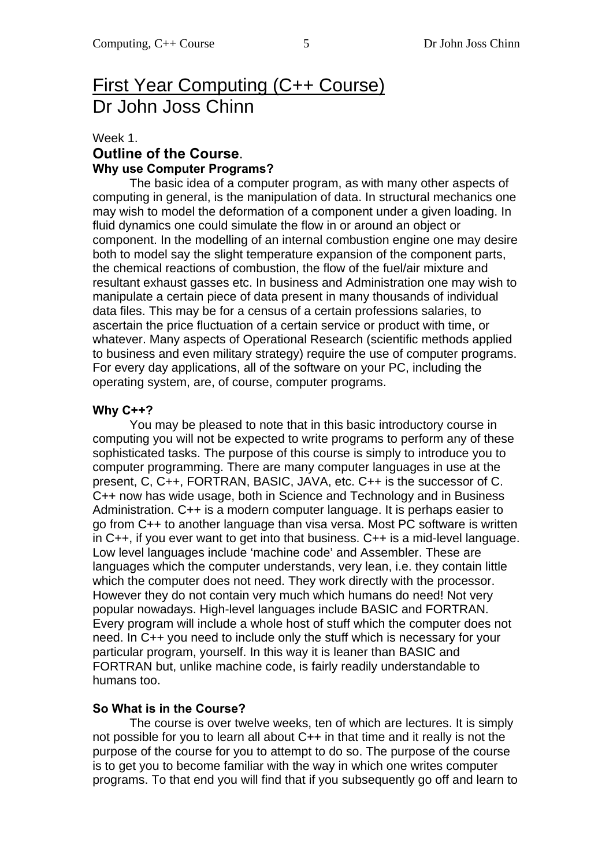# First Year Computing (C++ Course) Dr John Joss Chinn

#### Week 1. **Outline of the Course**. **Why use Computer Programs?**

 The basic idea of a computer program, as with many other aspects of computing in general, is the manipulation of data. In structural mechanics one may wish to model the deformation of a component under a given loading. In fluid dynamics one could simulate the flow in or around an object or component. In the modelling of an internal combustion engine one may desire both to model say the slight temperature expansion of the component parts, the chemical reactions of combustion, the flow of the fuel/air mixture and resultant exhaust gasses etc. In business and Administration one may wish to manipulate a certain piece of data present in many thousands of individual data files. This may be for a census of a certain professions salaries, to ascertain the price fluctuation of a certain service or product with time, or whatever. Many aspects of Operational Research (scientific methods applied to business and even military strategy) require the use of computer programs. For every day applications, all of the software on your PC, including the operating system, are, of course, computer programs.

#### **Why C++?**

 You may be pleased to note that in this basic introductory course in computing you will not be expected to write programs to perform any of these sophisticated tasks. The purpose of this course is simply to introduce you to computer programming. There are many computer languages in use at the present, C, C++, FORTRAN, BASIC, JAVA, etc. C++ is the successor of C. C++ now has wide usage, both in Science and Technology and in Business Administration. C++ is a modern computer language. It is perhaps easier to go from C++ to another language than visa versa. Most PC software is written in C++, if you ever want to get into that business. C++ is a mid-level language. Low level languages include 'machine code' and Assembler. These are languages which the computer understands, very lean, i.e. they contain little which the computer does not need. They work directly with the processor. However they do not contain very much which humans do need! Not very popular nowadays. High-level languages include BASIC and FORTRAN. Every program will include a whole host of stuff which the computer does not need. In C++ you need to include only the stuff which is necessary for your particular program, yourself. In this way it is leaner than BASIC and FORTRAN but, unlike machine code, is fairly readily understandable to humans too.

#### **So What is in the Course?**

 The course is over twelve weeks, ten of which are lectures. It is simply not possible for you to learn all about C++ in that time and it really is not the purpose of the course for you to attempt to do so. The purpose of the course is to get you to become familiar with the way in which one writes computer programs. To that end you will find that if you subsequently go off and learn to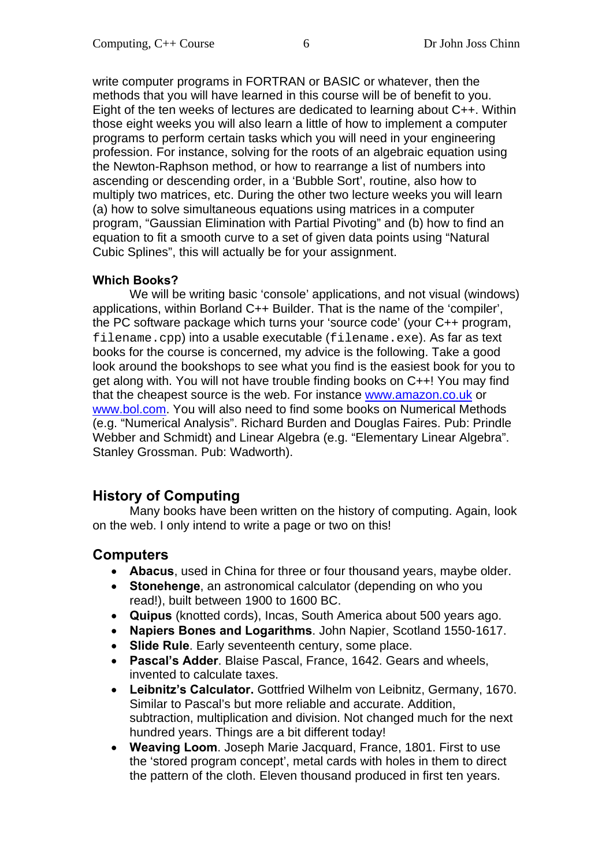write computer programs in FORTRAN or BASIC or whatever, then the methods that you will have learned in this course will be of benefit to you. Eight of the ten weeks of lectures are dedicated to learning about C++. Within those eight weeks you will also learn a little of how to implement a computer programs to perform certain tasks which you will need in your engineering profession. For instance, solving for the roots of an algebraic equation using the Newton-Raphson method, or how to rearrange a list of numbers into ascending or descending order, in a 'Bubble Sort', routine, also how to multiply two matrices, etc. During the other two lecture weeks you will learn (a) how to solve simultaneous equations using matrices in a computer program, "Gaussian Elimination with Partial Pivoting" and (b) how to find an equation to fit a smooth curve to a set of given data points using "Natural Cubic Splines", this will actually be for your assignment.

### **Which Books?**

 We will be writing basic 'console' applications, and not visual (windows) applications, within Borland C++ Builder. That is the name of the 'compiler', the PC software package which turns your 'source code' (your C++ program, filename.cpp) into a usable executable (filename.exe). As far as text books for the course is concerned, my advice is the following. Take a good look around the bookshops to see what you find is the easiest book for you to get along with. You will not have trouble finding books on C++! You may find that the cheapest source is the web. For instance www.amazon.co.uk or www.bol.com. You will also need to find some books on Numerical Methods (e.g. "Numerical Analysis". Richard Burden and Douglas Faires. Pub: Prindle Webber and Schmidt) and Linear Algebra (e.g. "Elementary Linear Algebra". Stanley Grossman. Pub: Wadworth).

## **History of Computing**

 Many books have been written on the history of computing. Again, look on the web. I only intend to write a page or two on this!

## **Computers**

- **Abacus**, used in China for three or four thousand years, maybe older.
- **Stonehenge**, an astronomical calculator (depending on who you read!), built between 1900 to 1600 BC.
- **Quipus** (knotted cords), Incas, South America about 500 years ago.
- **Napiers Bones and Logarithms**. John Napier, Scotland 1550-1617.
- **Slide Rule**. Early seventeenth century, some place.
- **Pascal's Adder**. Blaise Pascal, France, 1642. Gears and wheels, invented to calculate taxes.
- **Leibnitz's Calculator.** Gottfried Wilhelm von Leibnitz, Germany, 1670. Similar to Pascal's but more reliable and accurate. Addition, subtraction, multiplication and division. Not changed much for the next hundred years. Things are a bit different today!
- **Weaving Loom**. Joseph Marie Jacquard, France, 1801. First to use the 'stored program concept', metal cards with holes in them to direct the pattern of the cloth. Eleven thousand produced in first ten years.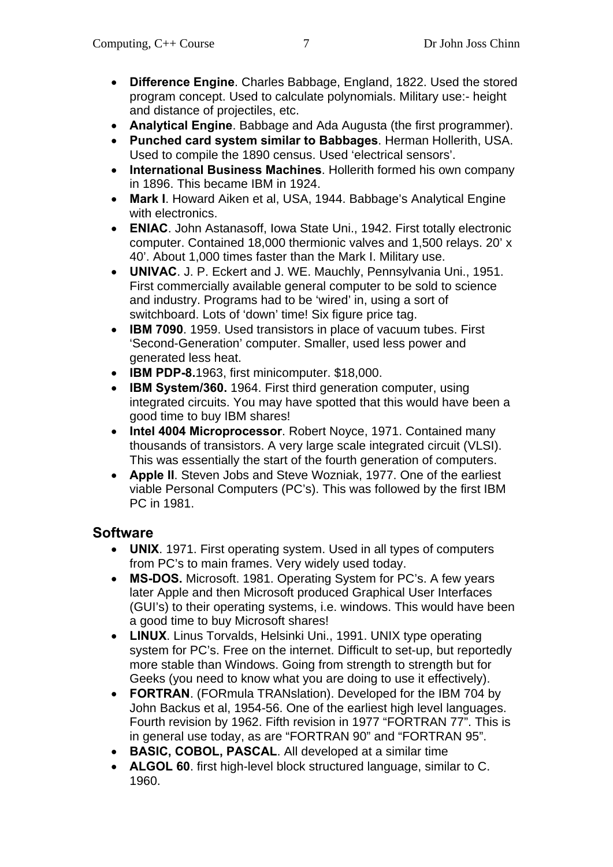- **Difference Engine**. Charles Babbage, England, 1822. Used the stored program concept. Used to calculate polynomials. Military use:- height and distance of projectiles, etc.
- **Analytical Engine**. Babbage and Ada Augusta (the first programmer).
- **Punched card system similar to Babbages**. Herman Hollerith, USA. Used to compile the 1890 census. Used 'electrical sensors'.
- **International Business Machines**. Hollerith formed his own company in 1896. This became IBM in 1924.
- **Mark I**. Howard Aiken et al, USA, 1944. Babbage's Analytical Engine with electronics.
- **ENIAC**. John Astanasoff, Iowa State Uni., 1942. First totally electronic computer. Contained 18,000 thermionic valves and 1,500 relays. 20' x 40'. About 1,000 times faster than the Mark I. Military use.
- **UNIVAC**. J. P. Eckert and J. WE. Mauchly, Pennsylvania Uni., 1951. First commercially available general computer to be sold to science and industry. Programs had to be 'wired' in, using a sort of switchboard. Lots of 'down' time! Six figure price tag.
- **IBM 7090**. 1959. Used transistors in place of vacuum tubes. First 'Second-Generation' computer. Smaller, used less power and generated less heat.
- **IBM PDP-8.**1963, first minicomputer. \$18,000.
- **IBM System/360.** 1964. First third generation computer, using integrated circuits. You may have spotted that this would have been a good time to buy IBM shares!
- **Intel 4004 Microprocessor**. Robert Noyce, 1971. Contained many thousands of transistors. A very large scale integrated circuit (VLSI). This was essentially the start of the fourth generation of computers.
- **Apple II**. Steven Jobs and Steve Wozniak, 1977. One of the earliest viable Personal Computers (PC's). This was followed by the first IBM PC in 1981.

## **Software**

- **UNIX**. 1971. First operating system. Used in all types of computers from PC's to main frames. Very widely used today.
- **MS-DOS.** Microsoft. 1981. Operating System for PC's. A few years later Apple and then Microsoft produced Graphical User Interfaces (GUI's) to their operating systems, i.e. windows. This would have been a good time to buy Microsoft shares!
- **LINUX**. Linus Torvalds, Helsinki Uni., 1991. UNIX type operating system for PC's. Free on the internet. Difficult to set-up, but reportedly more stable than Windows. Going from strength to strength but for Geeks (you need to know what you are doing to use it effectively).
- **FORTRAN**. (FORmula TRANslation). Developed for the IBM 704 by John Backus et al, 1954-56. One of the earliest high level languages. Fourth revision by 1962. Fifth revision in 1977 "FORTRAN 77". This is in general use today, as are "FORTRAN 90" and "FORTRAN 95".
- **BASIC, COBOL, PASCAL**. All developed at a similar time
- **ALGOL 60**. first high-level block structured language, similar to C. 1960.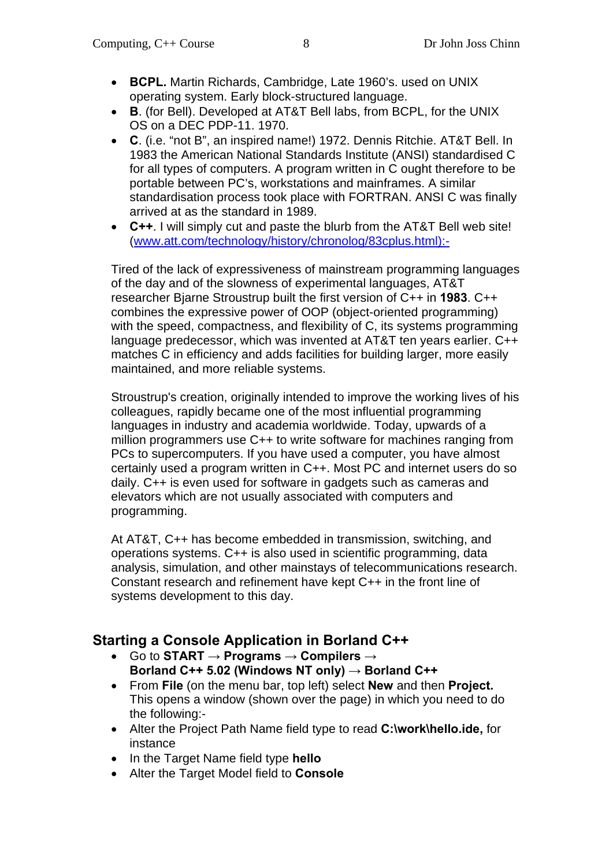- **BCPL.** Martin Richards, Cambridge, Late 1960's. used on UNIX operating system. Early block-structured language.
- **B**. (for Bell). Developed at AT&T Bell labs, from BCPL, for the UNIX OS on a DEC PDP-11. 1970.
- **C**. (i.e. "not B", an inspired name!) 1972. Dennis Ritchie. AT&T Bell. In 1983 the American National Standards Institute (ANSI) standardised C for all types of computers. A program written in C ought therefore to be portable between PC's, workstations and mainframes. A similar standardisation process took place with FORTRAN. ANSI C was finally arrived at as the standard in 1989.
- **C++**. I will simply cut and paste the blurb from the AT&T Bell web site! (www.att.com/technology/history/chronolog/83cplus.html):-

Tired of the lack of expressiveness of mainstream programming languages of the day and of the slowness of experimental languages, AT&T researcher Bjarne Stroustrup built the first version of C++ in **1983**. C++ combines the expressive power of OOP (object-oriented programming) with the speed, compactness, and flexibility of C, its systems programming language predecessor, which was invented at AT&T ten years earlier. C++ matches C in efficiency and adds facilities for building larger, more easily maintained, and more reliable systems.

Stroustrup's creation, originally intended to improve the working lives of his colleagues, rapidly became one of the most influential programming languages in industry and academia worldwide. Today, upwards of a million programmers use C++ to write software for machines ranging from PCs to supercomputers. If you have used a computer, you have almost certainly used a program written in C++. Most PC and internet users do so daily. C++ is even used for software in gadgets such as cameras and elevators which are not usually associated with computers and programming.

At AT&T, C++ has become embedded in transmission, switching, and operations systems. C++ is also used in scientific programming, data analysis, simulation, and other mainstays of telecommunications research. Constant research and refinement have kept C++ in the front line of systems development to this day.

# **Starting a Console Application in Borland C++**

- Go to **START → Programs → Compilers → Borland C++ 5.02 (Windows NT only) → Borland C++**
- From **File** (on the menu bar, top left) select **New** and then **Project.**  This opens a window (shown over the page) in which you need to do the following:-
- Alter the Project Path Name field type to read **C:\work\hello.ide,** for instance
- In the Target Name field type **hello**
- Alter the Target Model field to **Console**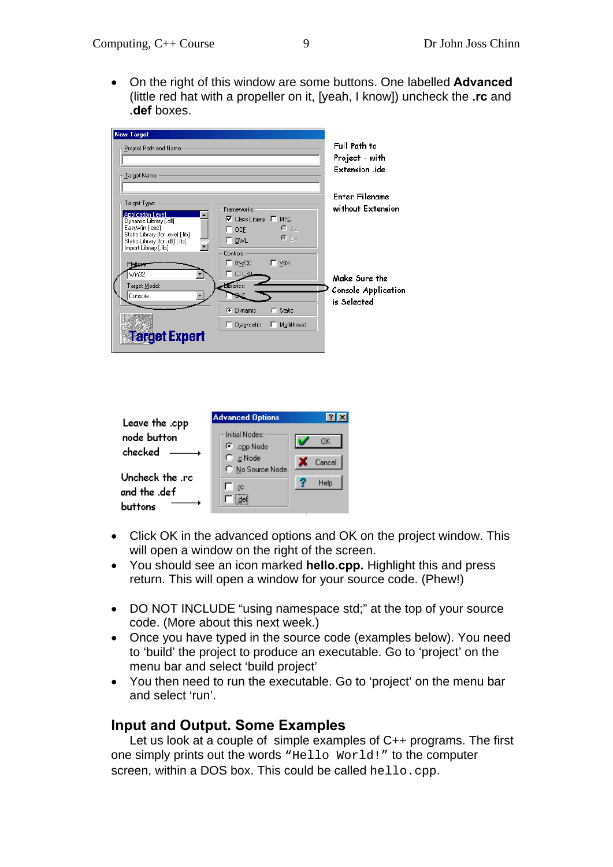On the right of this window are some buttons. One labelled **Advanced** (little red hat with a propeller on it, [yeah, I know]) uncheck the **.rc** and **.def** boxes.

| <b>New Target</b>                                  |                                     |                            |
|----------------------------------------------------|-------------------------------------|----------------------------|
| Project Path and Name:                             |                                     | Full Path to               |
|                                                    |                                     | Project - with             |
| ∐arget Name:∘                                      |                                     | Extension .ide             |
|                                                    |                                     |                            |
|                                                    |                                     | Enter Filename             |
| Target Type:                                       | Frameworks:                         | without Extension          |
| Application [.exe]<br>Dynamic Library [.dll]       | $\nabla$ Class Library $\Gamma$ MFC |                            |
| EasyWin [.exe]<br>Static Library (for .exe) [.lib] | C32<br>$\Box$ OCF                   |                            |
| Static Library (for .dll) [.lib]                   | $C_{-4.8}$<br>$\Gamma$ owl          |                            |
| Import Library [.lib]                              | Controls:                           |                            |
| Platform.                                          | $\Gamma$ BWCC<br>$\Gamma$ VBX       |                            |
| Win32                                              | $\sqsubset$ CTL3D                   | Make Sure the              |
| Target Model:                                      | <b>Elbraries:</b>                   | <b>Console Application</b> |
| Console                                            |                                     | is Selected                |
|                                                    | C Dynamic<br>$\cap$ Static          |                            |
|                                                    | Djagnostic<br>Multithread           |                            |
| <b>Target Expert</b>                               |                                     |                            |
|                                                    |                                     |                            |

| Leave the .cpp                             | <b>Advanced Options</b>                                        |              |
|--------------------------------------------|----------------------------------------------------------------|--------------|
| node button<br>checked                     | — Initial Nodes:<br>$\bullet$ .cpp Node<br>$\mathbb C$ .c Node | OK<br>Cancel |
| Uncheck the .rc<br>and the .def<br>huttons | C No Source Node<br>.rc                                        | Help         |

- Click OK in the advanced options and OK on the project window. This will open a window on the right of the screen.
- You should see an icon marked **hello.cpp.** Highlight this and press return. This will open a window for your source code. (Phew!)
- DO NOT INCLUDE "using namespace std;" at the top of your source code. (More about this next week.)
- Once you have typed in the source code (examples below). You need to 'build' the project to produce an executable. Go to 'project' on the menu bar and select 'build project'
- You then need to run the executable. Go to 'project' on the menu bar and select 'run'.

### **Input and Output. Some Examples**

 Let us look at a couple of simple examples of C++ programs. The first one simply prints out the words "Hello World!" to the computer screen, within a DOS box. This could be called hello.cpp.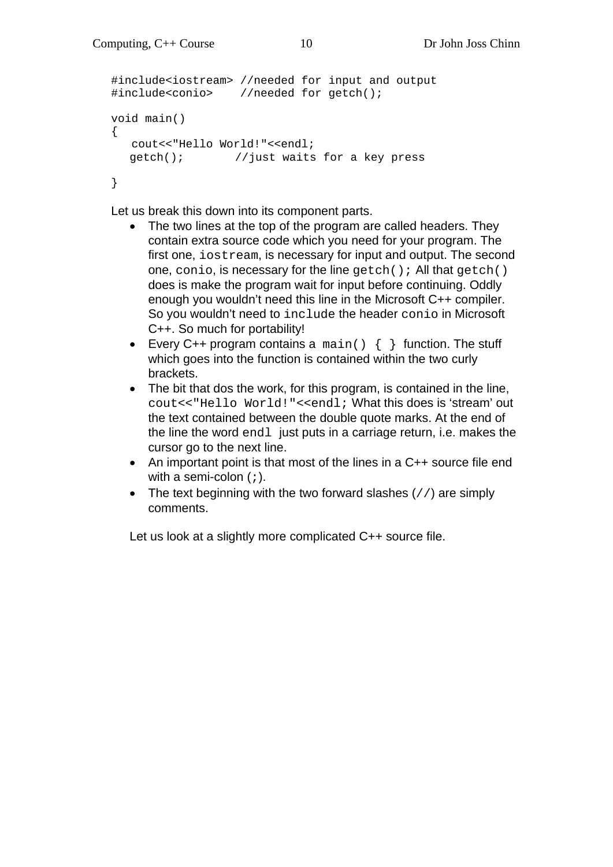```
#include<iostream> //needed for input and output 
#include<conio> //needed for getch(); 
void main() 
{ 
   cout<<"Hello World!"<<endl; 
  getch(); //just waits for a key press 
}
```
Let us break this down into its component parts.

- The two lines at the top of the program are called headers. They contain extra source code which you need for your program. The first one, iostream, is necessary for input and output. The second one, conio, is necessary for the line  $qetch()$ ; All that  $qetch()$ does is make the program wait for input before continuing. Oddly enough you wouldn't need this line in the Microsoft C++ compiler. So you wouldn't need to include the header conio in Microsoft C++. So much for portability!
- Every C++ program contains a  $\text{main}( ) \{ \}$  function. The stuff which goes into the function is contained within the two curly brackets.
- The bit that dos the work, for this program, is contained in the line, cout<<"Hello World!"<<endl; What this does is 'stream' out the text contained between the double quote marks. At the end of the line the word endl just puts in a carriage return, i.e. makes the cursor go to the next line.
- An important point is that most of the lines in a C++ source file end with a semi-colon (;).
- The text beginning with the two forward slashes  $\left(\frac{1}{1}\right)$  are simply comments.

Let us look at a slightly more complicated C++ source file.